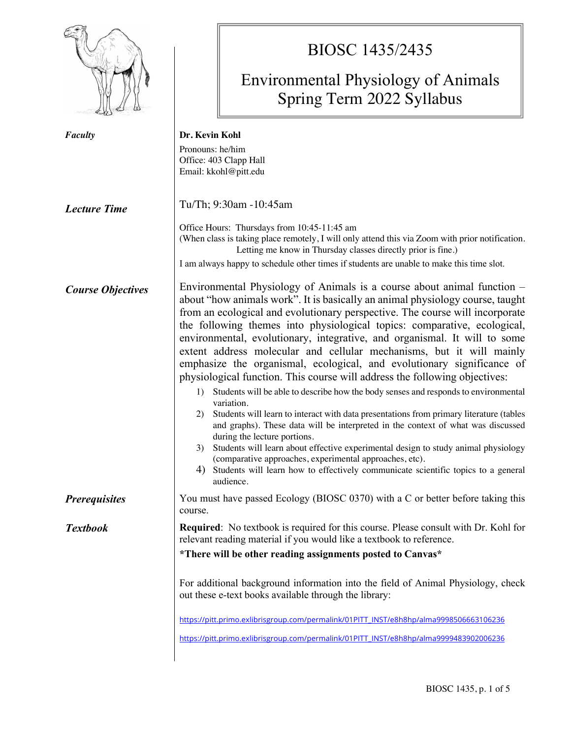|                          | BIOSC 1435/2435<br><b>Environmental Physiology of Animals</b><br>Spring Term 2022 Syllabus                                                                                                                                                                                                                                                                                                                                                                                                                                                                                                                                                                                                                                                                                                                                                                                                                                                                                                                                                                                                                                                                                                                                       |  |  |  |
|--------------------------|----------------------------------------------------------------------------------------------------------------------------------------------------------------------------------------------------------------------------------------------------------------------------------------------------------------------------------------------------------------------------------------------------------------------------------------------------------------------------------------------------------------------------------------------------------------------------------------------------------------------------------------------------------------------------------------------------------------------------------------------------------------------------------------------------------------------------------------------------------------------------------------------------------------------------------------------------------------------------------------------------------------------------------------------------------------------------------------------------------------------------------------------------------------------------------------------------------------------------------|--|--|--|
| <b>Faculty</b>           | Dr. Kevin Kohl<br>Pronouns: he/him<br>Office: 403 Clapp Hall<br>Email: kkohl@pitt.edu                                                                                                                                                                                                                                                                                                                                                                                                                                                                                                                                                                                                                                                                                                                                                                                                                                                                                                                                                                                                                                                                                                                                            |  |  |  |
| <b>Lecture Time</b>      | Tu/Th; 9:30am -10:45am<br>Office Hours: Thursdays from 10:45-11:45 am<br>(When class is taking place remotely, I will only attend this via Zoom with prior notification.<br>Letting me know in Thursday classes directly prior is fine.)<br>I am always happy to schedule other times if students are unable to make this time slot.                                                                                                                                                                                                                                                                                                                                                                                                                                                                                                                                                                                                                                                                                                                                                                                                                                                                                             |  |  |  |
| <b>Course Objectives</b> | Environmental Physiology of Animals is a course about animal function –<br>about "how animals work". It is basically an animal physiology course, taught<br>from an ecological and evolutionary perspective. The course will incorporate<br>the following themes into physiological topics: comparative, ecological,<br>environmental, evolutionary, integrative, and organismal. It will to some<br>extent address molecular and cellular mechanisms, but it will mainly<br>emphasize the organismal, ecological, and evolutionary significance of<br>physiological function. This course will address the following objectives:<br>Students will be able to describe how the body senses and responds to environmental<br>1)<br>variation.<br>Students will learn to interact with data presentations from primary literature (tables<br>2)<br>and graphs). These data will be interpreted in the context of what was discussed<br>during the lecture portions.<br>Students will learn about effective experimental design to study animal physiology<br>3)<br>(comparative approaches, experimental approaches, etc).<br>Students will learn how to effectively communicate scientific topics to a general<br>4)<br>audience. |  |  |  |
| <b>Prerequisites</b>     | You must have passed Ecology (BIOSC 0370) with a C or better before taking this<br>course.                                                                                                                                                                                                                                                                                                                                                                                                                                                                                                                                                                                                                                                                                                                                                                                                                                                                                                                                                                                                                                                                                                                                       |  |  |  |
| <b>Textbook</b>          | <b>Required:</b> No textbook is required for this course. Please consult with Dr. Kohl for<br>relevant reading material if you would like a textbook to reference.<br>*There will be other reading assignments posted to Canvas*<br>For additional background information into the field of Animal Physiology, check<br>out these e-text books available through the library:<br>https://pitt.primo.exlibrisgroup.com/permalink/01PITT_INST/e8h8hp/alma9998506663106236<br>https://pitt.primo.exlibrisgroup.com/permalink/01PITT_INST/e8h8hp/alma9999483902006236                                                                                                                                                                                                                                                                                                                                                                                                                                                                                                                                                                                                                                                                |  |  |  |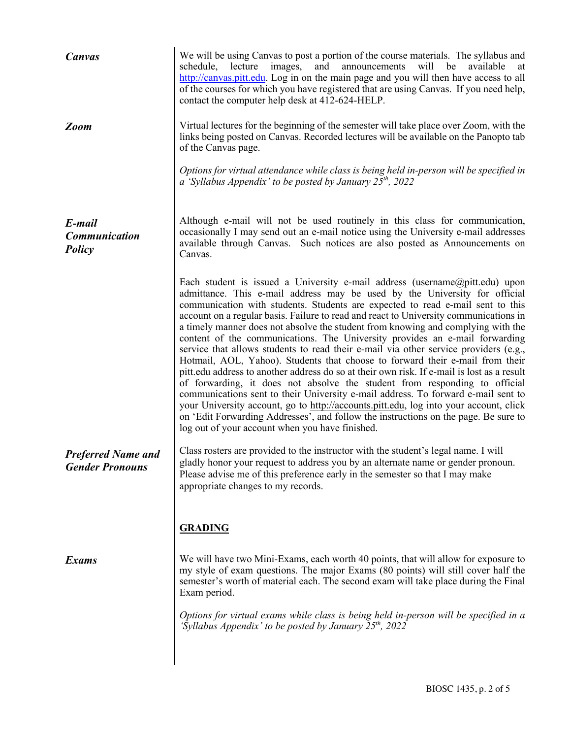| <b>Canvas</b>                                       | We will be using Canvas to post a portion of the course materials. The syllabus and<br>lecture<br>and<br>announcements<br>will<br>available<br>schedule,<br>images,<br>be<br>at<br>http://canvas.pitt.edu. Log in on the main page and you will then have access to all<br>of the courses for which you have registered that are using Canvas. If you need help,<br>contact the computer help desk at 412-624-HELP.                                                                                                                                                                                                                                                                                                                                                                                                                                                                                                                                                                                                                                                                                                                                                                   |
|-----------------------------------------------------|---------------------------------------------------------------------------------------------------------------------------------------------------------------------------------------------------------------------------------------------------------------------------------------------------------------------------------------------------------------------------------------------------------------------------------------------------------------------------------------------------------------------------------------------------------------------------------------------------------------------------------------------------------------------------------------------------------------------------------------------------------------------------------------------------------------------------------------------------------------------------------------------------------------------------------------------------------------------------------------------------------------------------------------------------------------------------------------------------------------------------------------------------------------------------------------|
| <b>Zoom</b>                                         | Virtual lectures for the beginning of the semester will take place over Zoom, with the<br>links being posted on Canvas. Recorded lectures will be available on the Panopto tab<br>of the Canvas page.                                                                                                                                                                                                                                                                                                                                                                                                                                                                                                                                                                                                                                                                                                                                                                                                                                                                                                                                                                                 |
|                                                     | Options for virtual attendance while class is being held in-person will be specified in<br>a 'Syllabus Appendix' to be posted by January $25th$ , 2022                                                                                                                                                                                                                                                                                                                                                                                                                                                                                                                                                                                                                                                                                                                                                                                                                                                                                                                                                                                                                                |
| E-mail<br><b>Communication</b><br>Policy            | Although e-mail will not be used routinely in this class for communication,<br>occasionally I may send out an e-mail notice using the University e-mail addresses<br>available through Canvas. Such notices are also posted as Announcements on<br>Canvas.                                                                                                                                                                                                                                                                                                                                                                                                                                                                                                                                                                                                                                                                                                                                                                                                                                                                                                                            |
|                                                     | Each student is issued a University e-mail address (username@pitt.edu) upon<br>admittance. This e-mail address may be used by the University for official<br>communication with students. Students are expected to read e-mail sent to this<br>account on a regular basis. Failure to read and react to University communications in<br>a timely manner does not absolve the student from knowing and complying with the<br>content of the communications. The University provides an e-mail forwarding<br>service that allows students to read their e-mail via other service providers (e.g.,<br>Hotmail, AOL, Yahoo). Students that choose to forward their e-mail from their<br>pitt. edu address to another address do so at their own risk. If e-mail is lost as a result<br>of forwarding, it does not absolve the student from responding to official<br>communications sent to their University e-mail address. To forward e-mail sent to<br>your University account, go to http://accounts.pitt.edu, log into your account, click<br>on 'Edit Forwarding Addresses', and follow the instructions on the page. Be sure to<br>log out of your account when you have finished. |
| <b>Preferred Name and</b><br><b>Gender Pronouns</b> | Class rosters are provided to the instructor with the student's legal name. I will<br>gladly honor your request to address you by an alternate name or gender pronoun.<br>Please advise me of this preference early in the semester so that I may make<br>appropriate changes to my records.                                                                                                                                                                                                                                                                                                                                                                                                                                                                                                                                                                                                                                                                                                                                                                                                                                                                                          |
|                                                     | <b>GRADING</b>                                                                                                                                                                                                                                                                                                                                                                                                                                                                                                                                                                                                                                                                                                                                                                                                                                                                                                                                                                                                                                                                                                                                                                        |
| <b>Exams</b>                                        | We will have two Mini-Exams, each worth 40 points, that will allow for exposure to<br>my style of exam questions. The major Exams (80 points) will still cover half the<br>semester's worth of material each. The second exam will take place during the Final<br>Exam period.                                                                                                                                                                                                                                                                                                                                                                                                                                                                                                                                                                                                                                                                                                                                                                                                                                                                                                        |
|                                                     | Options for virtual exams while class is being held in-person will be specified in a<br>'Syllabus Appendix' to be posted by January $25^{th}$ , 2022                                                                                                                                                                                                                                                                                                                                                                                                                                                                                                                                                                                                                                                                                                                                                                                                                                                                                                                                                                                                                                  |
|                                                     |                                                                                                                                                                                                                                                                                                                                                                                                                                                                                                                                                                                                                                                                                                                                                                                                                                                                                                                                                                                                                                                                                                                                                                                       |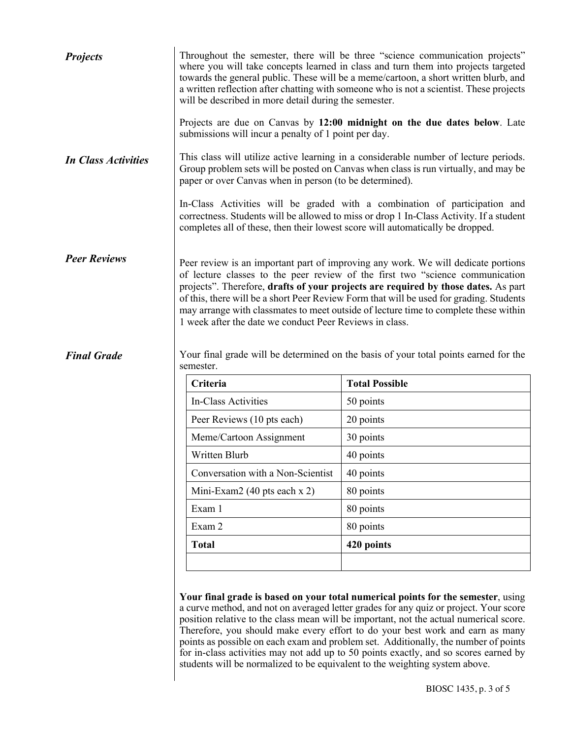| <b>Projects</b>                           | Throughout the semester, there will be three "science communication projects"<br>where you will take concepts learned in class and turn them into projects targeted<br>towards the general public. These will be a meme/cartoon, a short written blurb, and<br>a written reflection after chatting with someone who is not a scientist. These projects<br>will be described in more detail during the semester.                                                                                                                                                                                             |                       |  |  |  |
|-------------------------------------------|-------------------------------------------------------------------------------------------------------------------------------------------------------------------------------------------------------------------------------------------------------------------------------------------------------------------------------------------------------------------------------------------------------------------------------------------------------------------------------------------------------------------------------------------------------------------------------------------------------------|-----------------------|--|--|--|
|                                           | Projects are due on Canvas by 12:00 midnight on the due dates below. Late<br>submissions will incur a penalty of 1 point per day.                                                                                                                                                                                                                                                                                                                                                                                                                                                                           |                       |  |  |  |
| <b>In Class Activities</b>                | This class will utilize active learning in a considerable number of lecture periods.<br>Group problem sets will be posted on Canvas when class is run virtually, and may be<br>paper or over Canvas when in person (to be determined).                                                                                                                                                                                                                                                                                                                                                                      |                       |  |  |  |
|                                           | In-Class Activities will be graded with a combination of participation and<br>correctness. Students will be allowed to miss or drop 1 In-Class Activity. If a student<br>completes all of these, then their lowest score will automatically be dropped.                                                                                                                                                                                                                                                                                                                                                     |                       |  |  |  |
| <b>Peer Reviews</b><br><b>Final Grade</b> | Peer review is an important part of improving any work. We will dedicate portions<br>of lecture classes to the peer review of the first two "science communication<br>projects". Therefore, drafts of your projects are required by those dates. As part<br>of this, there will be a short Peer Review Form that will be used for grading. Students<br>may arrange with classmates to meet outside of lecture time to complete these within<br>1 week after the date we conduct Peer Reviews in class.<br>Your final grade will be determined on the basis of your total points earned for the<br>semester. |                       |  |  |  |
|                                           | Criteria                                                                                                                                                                                                                                                                                                                                                                                                                                                                                                                                                                                                    | <b>Total Possible</b> |  |  |  |
|                                           | In-Class Activities                                                                                                                                                                                                                                                                                                                                                                                                                                                                                                                                                                                         | 50 points             |  |  |  |
|                                           | Peer Reviews (10 pts each)                                                                                                                                                                                                                                                                                                                                                                                                                                                                                                                                                                                  | 20 points             |  |  |  |
|                                           | Meme/Cartoon Assignment                                                                                                                                                                                                                                                                                                                                                                                                                                                                                                                                                                                     | 30 points             |  |  |  |
|                                           | Written Blurb                                                                                                                                                                                                                                                                                                                                                                                                                                                                                                                                                                                               | 40 points             |  |  |  |
|                                           | Conversation with a Non-Scientist                                                                                                                                                                                                                                                                                                                                                                                                                                                                                                                                                                           | 40 points             |  |  |  |
|                                           | Mini-Exam2 (40 pts each x 2)                                                                                                                                                                                                                                                                                                                                                                                                                                                                                                                                                                                | 80 points             |  |  |  |
|                                           | Exam 1                                                                                                                                                                                                                                                                                                                                                                                                                                                                                                                                                                                                      | 80 points             |  |  |  |
|                                           | Exam 2                                                                                                                                                                                                                                                                                                                                                                                                                                                                                                                                                                                                      | 80 points             |  |  |  |
|                                           | <b>Total</b>                                                                                                                                                                                                                                                                                                                                                                                                                                                                                                                                                                                                | 420 points            |  |  |  |
|                                           |                                                                                                                                                                                                                                                                                                                                                                                                                                                                                                                                                                                                             |                       |  |  |  |
|                                           |                                                                                                                                                                                                                                                                                                                                                                                                                                                                                                                                                                                                             |                       |  |  |  |

**Your final grade is based on your total numerical points for the semester**, using a curve method, and not on averaged letter grades for any quiz or project. Your score position relative to the class mean will be important, not the actual numerical score. Therefore, you should make every effort to do your best work and earn as many points as possible on each exam and problem set. Additionally, the number of points for in-class activities may not add up to 50 points exactly, and so scores earned by students will be normalized to be equivalent to the weighting system above.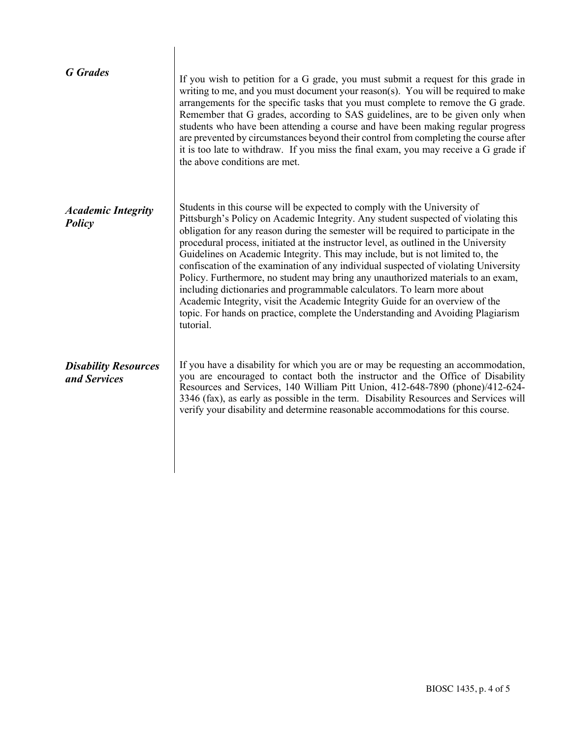| <b>G</b> Grades                             | If you wish to petition for a G grade, you must submit a request for this grade in<br>writing to me, and you must document your reason(s). You will be required to make<br>arrangements for the specific tasks that you must complete to remove the G grade.<br>Remember that G grades, according to SAS guidelines, are to be given only when<br>students who have been attending a course and have been making regular progress<br>are prevented by circumstances beyond their control from completing the course after<br>it is too late to withdraw. If you miss the final exam, you may receive a G grade if<br>the above conditions are met.                                                                                                                                                                                                                         |
|---------------------------------------------|----------------------------------------------------------------------------------------------------------------------------------------------------------------------------------------------------------------------------------------------------------------------------------------------------------------------------------------------------------------------------------------------------------------------------------------------------------------------------------------------------------------------------------------------------------------------------------------------------------------------------------------------------------------------------------------------------------------------------------------------------------------------------------------------------------------------------------------------------------------------------|
| <b>Academic Integrity</b><br>Policy         | Students in this course will be expected to comply with the University of<br>Pittsburgh's Policy on Academic Integrity. Any student suspected of violating this<br>obligation for any reason during the semester will be required to participate in the<br>procedural process, initiated at the instructor level, as outlined in the University<br>Guidelines on Academic Integrity. This may include, but is not limited to, the<br>confiscation of the examination of any individual suspected of violating University<br>Policy. Furthermore, no student may bring any unauthorized materials to an exam,<br>including dictionaries and programmable calculators. To learn more about<br>Academic Integrity, visit the Academic Integrity Guide for an overview of the<br>topic. For hands on practice, complete the Understanding and Avoiding Plagiarism<br>tutorial. |
| <b>Disability Resources</b><br>and Services | If you have a disability for which you are or may be requesting an accommodation,<br>you are encouraged to contact both the instructor and the Office of Disability<br>Resources and Services, 140 William Pitt Union, 412-648-7890 (phone)/412-624-<br>3346 (fax), as early as possible in the term. Disability Resources and Services will<br>verify your disability and determine reasonable accommodations for this course.                                                                                                                                                                                                                                                                                                                                                                                                                                            |

 $\overline{\phantom{a}}$